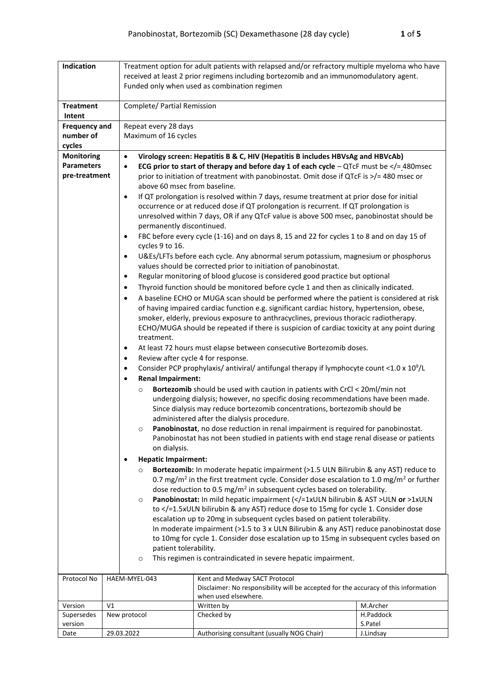| Indication                                                                                                |  |                                                                                                                                                                                                         | Treatment option for adult patients with relapsed and/or refractory multiple myeloma who have                                                                          |                                                                                                                                                                                     |  |  |  |
|-----------------------------------------------------------------------------------------------------------|--|---------------------------------------------------------------------------------------------------------------------------------------------------------------------------------------------------------|------------------------------------------------------------------------------------------------------------------------------------------------------------------------|-------------------------------------------------------------------------------------------------------------------------------------------------------------------------------------|--|--|--|
|                                                                                                           |  |                                                                                                                                                                                                         | received at least 2 prior regimens including bortezomib and an immunomodulatory agent.<br>Funded only when used as combination regimen                                 |                                                                                                                                                                                     |  |  |  |
|                                                                                                           |  |                                                                                                                                                                                                         |                                                                                                                                                                        |                                                                                                                                                                                     |  |  |  |
| <b>Treatment</b>                                                                                          |  | Complete/ Partial Remission                                                                                                                                                                             |                                                                                                                                                                        |                                                                                                                                                                                     |  |  |  |
| Intent                                                                                                    |  |                                                                                                                                                                                                         |                                                                                                                                                                        |                                                                                                                                                                                     |  |  |  |
| <b>Frequency and</b>                                                                                      |  | Repeat every 28 days                                                                                                                                                                                    |                                                                                                                                                                        |                                                                                                                                                                                     |  |  |  |
| number of                                                                                                 |  | Maximum of 16 cycles                                                                                                                                                                                    |                                                                                                                                                                        |                                                                                                                                                                                     |  |  |  |
| cycles<br><b>Monitoring</b>                                                                               |  |                                                                                                                                                                                                         |                                                                                                                                                                        |                                                                                                                                                                                     |  |  |  |
| <b>Parameters</b>                                                                                         |  | Virology screen: Hepatitis B & C, HIV (Hepatitis B includes HBVsAg and HBVcAb)<br>$\bullet$<br>ECG prior to start of therapy and before day 1 of each cycle - QTcF must be $\lt/=$ 480msec<br>$\bullet$ |                                                                                                                                                                        |                                                                                                                                                                                     |  |  |  |
| pre-treatment                                                                                             |  |                                                                                                                                                                                                         | prior to initiation of treatment with panobinostat. Omit dose if QTcF is >/= 480 msec or                                                                               |                                                                                                                                                                                     |  |  |  |
|                                                                                                           |  |                                                                                                                                                                                                         | above 60 msec from baseline.                                                                                                                                           |                                                                                                                                                                                     |  |  |  |
|                                                                                                           |  | $\bullet$                                                                                                                                                                                               | If QT prolongation is resolved within 7 days, resume treatment at prior dose for initial                                                                               |                                                                                                                                                                                     |  |  |  |
|                                                                                                           |  |                                                                                                                                                                                                         | occurrence or at reduced dose if QT prolongation is recurrent. If QT prolongation is                                                                                   |                                                                                                                                                                                     |  |  |  |
|                                                                                                           |  |                                                                                                                                                                                                         | unresolved within 7 days, OR if any QTcF value is above 500 msec, panobinostat should be                                                                               |                                                                                                                                                                                     |  |  |  |
|                                                                                                           |  | permanently discontinued.                                                                                                                                                                               |                                                                                                                                                                        |                                                                                                                                                                                     |  |  |  |
|                                                                                                           |  | ٠<br>cycles 9 to 16.                                                                                                                                                                                    | FBC before every cycle (1-16) and on days 8, 15 and 22 for cycles 1 to 8 and on day 15 of                                                                              |                                                                                                                                                                                     |  |  |  |
|                                                                                                           |  | $\bullet$                                                                                                                                                                                               | U&Es/LFTs before each cycle. Any abnormal serum potassium, magnesium or phosphorus<br>values should be corrected prior to initiation of panobinostat.                  |                                                                                                                                                                                     |  |  |  |
|                                                                                                           |  | $\bullet$                                                                                                                                                                                               | Regular monitoring of blood glucose is considered good practice but optional                                                                                           |                                                                                                                                                                                     |  |  |  |
|                                                                                                           |  | $\bullet$                                                                                                                                                                                               | Thyroid function should be monitored before cycle 1 and then as clinically indicated.                                                                                  |                                                                                                                                                                                     |  |  |  |
|                                                                                                           |  | $\bullet$                                                                                                                                                                                               | A baseline ECHO or MUGA scan should be performed where the patient is considered at risk                                                                               |                                                                                                                                                                                     |  |  |  |
|                                                                                                           |  |                                                                                                                                                                                                         | of having impaired cardiac function e.g. significant cardiac history, hypertension, obese,                                                                             |                                                                                                                                                                                     |  |  |  |
|                                                                                                           |  |                                                                                                                                                                                                         |                                                                                                                                                                        | smoker, elderly, previous exposure to anthracyclines, previous thoracic radiotherapy.<br>ECHO/MUGA should be repeated if there is suspicion of cardiac toxicity at any point during |  |  |  |
|                                                                                                           |  | treatment.                                                                                                                                                                                              |                                                                                                                                                                        |                                                                                                                                                                                     |  |  |  |
| ٠                                                                                                         |  |                                                                                                                                                                                                         | At least 72 hours must elapse between consecutive Bortezomib doses.                                                                                                    |                                                                                                                                                                                     |  |  |  |
| $\bullet$                                                                                                 |  |                                                                                                                                                                                                         | Review after cycle 4 for response.                                                                                                                                     |                                                                                                                                                                                     |  |  |  |
| Consider PCP prophylaxis/ antiviral/ antifungal therapy if lymphocyte count <1.0 x $10^9$ /L<br>$\bullet$ |  |                                                                                                                                                                                                         |                                                                                                                                                                        |                                                                                                                                                                                     |  |  |  |
| <b>Renal Impairment:</b><br>$\bullet$                                                                     |  |                                                                                                                                                                                                         |                                                                                                                                                                        |                                                                                                                                                                                     |  |  |  |
| $\circ$                                                                                                   |  |                                                                                                                                                                                                         | Bortezomib should be used with caution in patients with CrCl < 20ml/min not                                                                                            |                                                                                                                                                                                     |  |  |  |
|                                                                                                           |  |                                                                                                                                                                                                         | undergoing dialysis; however, no specific dosing recommendations have been made.<br>Since dialysis may reduce bortezomib concentrations, bortezomib should be          |                                                                                                                                                                                     |  |  |  |
|                                                                                                           |  |                                                                                                                                                                                                         | administered after the dialysis procedure.                                                                                                                             |                                                                                                                                                                                     |  |  |  |
|                                                                                                           |  | $\circ$                                                                                                                                                                                                 | Panobinostat, no dose reduction in renal impairment is required for panobinostat.                                                                                      |                                                                                                                                                                                     |  |  |  |
|                                                                                                           |  |                                                                                                                                                                                                         | Panobinostat has not been studied in patients with end stage renal disease or patients                                                                                 |                                                                                                                                                                                     |  |  |  |
|                                                                                                           |  | on dialysis.                                                                                                                                                                                            |                                                                                                                                                                        |                                                                                                                                                                                     |  |  |  |
|                                                                                                           |  | <b>Hepatic Impairment:</b>                                                                                                                                                                              |                                                                                                                                                                        |                                                                                                                                                                                     |  |  |  |
|                                                                                                           |  | $\circ$                                                                                                                                                                                                 | Bortezomib: In moderate hepatic impairment (>1.5 ULN Bilirubin & any AST) reduce to                                                                                    |                                                                                                                                                                                     |  |  |  |
|                                                                                                           |  |                                                                                                                                                                                                         | 0.7 mg/m <sup>2</sup> in the first treatment cycle. Consider dose escalation to 1.0 mg/m <sup>2</sup> or further                                                       |                                                                                                                                                                                     |  |  |  |
|                                                                                                           |  | $\circ$                                                                                                                                                                                                 | dose reduction to 0.5 mg/m <sup>2</sup> in subsequent cycles based on tolerability.<br>Panobinostat: In mild hepatic impairment ( =1xULN bilirubin & AST ULN or >1xULN |                                                                                                                                                                                     |  |  |  |
|                                                                                                           |  |                                                                                                                                                                                                         | to =1.5xULN bilirubin & any AST) reduce dose to 15mg for cycle 1. Consider dose</th <th></th>                                                                          |                                                                                                                                                                                     |  |  |  |
|                                                                                                           |  |                                                                                                                                                                                                         |                                                                                                                                                                        | escalation up to 20mg in subsequent cycles based on patient tolerability.                                                                                                           |  |  |  |
|                                                                                                           |  |                                                                                                                                                                                                         | In moderate impairment (>1.5 to 3 x ULN Bilirubin & any AST) reduce panobinostat dose                                                                                  |                                                                                                                                                                                     |  |  |  |
|                                                                                                           |  |                                                                                                                                                                                                         | to 10mg for cycle 1. Consider dose escalation up to 15mg in subsequent cycles based on                                                                                 |                                                                                                                                                                                     |  |  |  |
| patient tolerability.                                                                                     |  |                                                                                                                                                                                                         |                                                                                                                                                                        |                                                                                                                                                                                     |  |  |  |
|                                                                                                           |  | This regimen is contraindicated in severe hepatic impairment.<br>$\circ$                                                                                                                                |                                                                                                                                                                        |                                                                                                                                                                                     |  |  |  |
| Protocol No                                                                                               |  | HAEM-MYEL-043                                                                                                                                                                                           | Kent and Medway SACT Protocol                                                                                                                                          |                                                                                                                                                                                     |  |  |  |
|                                                                                                           |  |                                                                                                                                                                                                         | Disclaimer: No responsibility will be accepted for the accuracy of this information                                                                                    |                                                                                                                                                                                     |  |  |  |
| Version<br>V <sub>1</sub>                                                                                 |  |                                                                                                                                                                                                         | when used elsewhere.<br>Written by                                                                                                                                     | M.Archer                                                                                                                                                                            |  |  |  |
| Supersedes                                                                                                |  | New protocol                                                                                                                                                                                            | Checked by                                                                                                                                                             | H.Paddock                                                                                                                                                                           |  |  |  |
| version                                                                                                   |  |                                                                                                                                                                                                         |                                                                                                                                                                        | S.Patel                                                                                                                                                                             |  |  |  |
| Date                                                                                                      |  | 29.03.2022                                                                                                                                                                                              | Authorising consultant (usually NOG Chair)                                                                                                                             | J.Lindsay                                                                                                                                                                           |  |  |  |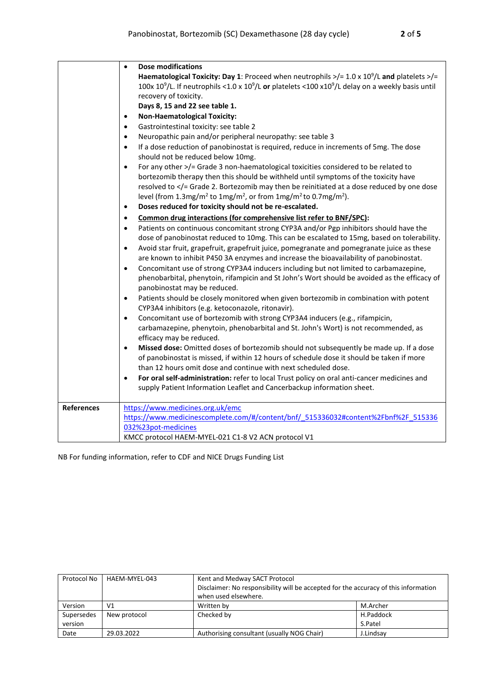|                   | <b>Dose modifications</b><br>$\bullet$                                                                                                |
|-------------------|---------------------------------------------------------------------------------------------------------------------------------------|
|                   | Haematological Toxicity: Day 1: Proceed when neutrophils $\frac{1}{2}$ = 1.0 x 10 <sup>9</sup> /L and platelets $\frac{1}{2}$         |
|                   | 100x 10 <sup>9</sup> /L. If neutrophils <1.0 x 10 <sup>9</sup> /L or platelets <100 x10 <sup>9</sup> /L delay on a weekly basis until |
|                   | recovery of toxicity.                                                                                                                 |
|                   | Days 8, 15 and 22 see table 1.                                                                                                        |
|                   | <b>Non-Haematological Toxicity:</b><br>٠                                                                                              |
|                   | Gastrointestinal toxicity: see table 2<br>$\bullet$                                                                                   |
|                   | Neuropathic pain and/or peripheral neuropathy: see table 3<br>$\bullet$                                                               |
|                   | If a dose reduction of panobinostat is required, reduce in increments of 5mg. The dose<br>$\bullet$                                   |
|                   | should not be reduced below 10mg.                                                                                                     |
|                   | For any other >/= Grade 3 non-haematological toxicities considered to be related to<br>$\bullet$                                      |
|                   | bortezomib therapy then this should be withheld until symptoms of the toxicity have                                                   |
|                   | resolved to = Grade 2. Bortezomib may then be reinitiated at a dose reduced by one dose</th                                           |
|                   | level (from 1.3mg/m <sup>2</sup> to 1mg/m <sup>2</sup> , or from 1mg/m <sup>2</sup> to 0.7mg/m <sup>2</sup> ).                        |
|                   | Doses reduced for toxicity should not be re-escalated.<br>$\bullet$                                                                   |
|                   | Common drug interactions (for comprehensive list refer to BNF/SPC):<br>$\bullet$                                                      |
|                   | Patients on continuous concomitant strong CYP3A and/or Pgp inhibitors should have the<br>$\bullet$                                    |
|                   | dose of panobinostat reduced to 10mg. This can be escalated to 15mg, based on tolerability.                                           |
|                   | Avoid star fruit, grapefruit, grapefruit juice, pomegranate and pomegranate juice as these<br>$\bullet$                               |
|                   | are known to inhibit P450 3A enzymes and increase the bioavailability of panobinostat.                                                |
|                   | Concomitant use of strong CYP3A4 inducers including but not limited to carbamazepine,<br>$\bullet$                                    |
|                   | phenobarbital, phenytoin, rifampicin and St John's Wort should be avoided as the efficacy of                                          |
|                   | panobinostat may be reduced.                                                                                                          |
|                   | Patients should be closely monitored when given bortezomib in combination with potent<br>$\bullet$                                    |
|                   | CYP3A4 inhibitors (e.g. ketoconazole, ritonavir).                                                                                     |
|                   | Concomitant use of bortezomib with strong CYP3A4 inducers (e.g., rifampicin,<br>$\bullet$                                             |
|                   | carbamazepine, phenytoin, phenobarbital and St. John's Wort) is not recommended, as                                                   |
|                   | efficacy may be reduced.                                                                                                              |
|                   | Missed dose: Omitted doses of bortezomib should not subsequently be made up. If a dose<br>$\bullet$                                   |
|                   | of panobinostat is missed, if within 12 hours of schedule dose it should be taken if more                                             |
|                   | than 12 hours omit dose and continue with next scheduled dose.                                                                        |
|                   | For oral self-administration: refer to local Trust policy on oral anti-cancer medicines and<br>$\bullet$                              |
|                   | supply Patient Information Leaflet and Cancerbackup information sheet.                                                                |
| <b>References</b> | https://www.medicines.org.uk/emc                                                                                                      |
|                   | https://www.medicinescomplete.com/#/content/bnf/ 515336032#content%2Fbnf%2F 515336                                                    |
|                   | 032%23pot-medicines                                                                                                                   |
|                   | KMCC protocol HAEM-MYEL-021 C1-8 V2 ACN protocol V1                                                                                   |

NB For funding information, refer to CDF and NICE Drugs Funding List

| Protocol No | HAEM-MYEL-043  | Kent and Medway SACT Protocol                                                       |           |  |  |
|-------------|----------------|-------------------------------------------------------------------------------------|-----------|--|--|
|             |                | Disclaimer: No responsibility will be accepted for the accuracy of this information |           |  |  |
|             |                | when used elsewhere.                                                                |           |  |  |
| Version     | V <sub>1</sub> | Written by                                                                          | M.Archer  |  |  |
| Supersedes  | New protocol   | Checked by<br>H.Paddock                                                             |           |  |  |
| version     |                |                                                                                     | S.Patel   |  |  |
| Date        | 29.03.2022     | Authorising consultant (usually NOG Chair)                                          | J.Lindsay |  |  |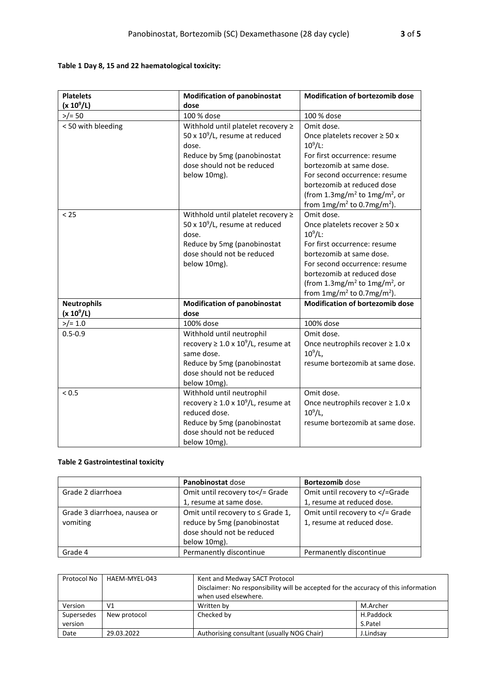## **Table 1 Day 8, 15 and 22 haematological toxicity:**

| <b>Platelets</b>   | <b>Modification of panobinostat</b>           | <b>Modification of bortezomib dose</b>                |
|--------------------|-----------------------------------------------|-------------------------------------------------------|
| $(x 10^9/L)$       | dose                                          |                                                       |
| $>$ /= 50          | 100 % dose                                    | 100 % dose                                            |
| <50 with bleeding  | Withhold until platelet recovery ≥            | Omit dose.                                            |
|                    | 50 x $10^9$ /L, resume at reduced             | Once platelets recover $\geq 50$ x                    |
|                    | dose.                                         | $10^9$ /L:                                            |
|                    | Reduce by 5mg (panobinostat                   | For first occurrence: resume                          |
|                    | dose should not be reduced                    | bortezomib at same dose.                              |
|                    | below 10mg).                                  | For second occurrence: resume                         |
|                    |                                               | bortezomib at reduced dose                            |
|                    |                                               | (from 1.3mg/m <sup>2</sup> to 1mg/m <sup>2</sup> , or |
|                    |                                               | from $1mg/m^2$ to 0.7mg/m <sup>2</sup> ).             |
| < 25               | Withhold until platelet recovery ≥            | Omit dose.                                            |
|                    | 50 x $10^9$ /L, resume at reduced             | Once platelets recover $\geq$ 50 x                    |
|                    | dose.                                         | $10^9$ /L:                                            |
|                    | Reduce by 5mg (panobinostat                   | For first occurrence: resume                          |
|                    | dose should not be reduced                    | bortezomib at same dose.                              |
|                    | below 10mg).                                  | For second occurrence: resume                         |
|                    |                                               | bortezomib at reduced dose                            |
|                    |                                               | (from 1.3mg/m <sup>2</sup> to 1mg/m <sup>2</sup> , or |
|                    |                                               | from $1mg/m^2$ to 0.7mg/m <sup>2</sup> ).             |
| <b>Neutrophils</b> | <b>Modification of panobinostat</b>           | <b>Modification of bortezomib dose</b>                |
| $(x 10^9/L)$       | dose                                          |                                                       |
| $>$ /= 1.0         | 100% dose                                     | 100% dose                                             |
| $0.5 - 0.9$        | Withhold until neutrophil                     | Omit dose.                                            |
|                    | recovery $\geq 1.0 \times 10^9$ /L, resume at | Once neutrophils recover $\geq 1.0$ x                 |
|                    | same dose.                                    | $10^9$ /L,                                            |
|                    | Reduce by 5mg (panobinostat                   | resume bortezomib at same dose.                       |
|                    | dose should not be reduced                    |                                                       |
|                    | below 10mg).                                  |                                                       |
| < 0.5              | Withhold until neutrophil                     | Omit dose.                                            |
|                    | recovery $\geq 1.0 \times 10^9$ /L, resume at | Once neutrophils recover $\geq 1.0$ x                 |
|                    | reduced dose.                                 | $10^9$ /L,                                            |
|                    | Reduce by 5mg (panobinostat                   | resume bortezomib at same dose.                       |
|                    | dose should not be reduced                    |                                                       |
|                    | below 10mg).                                  |                                                       |

## **Table 2 Gastrointestinal toxicity**

|                                          | Panobinostat dose                                                                                              | Bortezomib dose                                              |
|------------------------------------------|----------------------------------------------------------------------------------------------------------------|--------------------------------------------------------------|
| Grade 2 diarrhoea                        | Omit until recovery to = Grade</td <td>Omit until recovery to <!--=Grade</td--></td>                           | Omit until recovery to =Grade</td                            |
|                                          | 1, resume at same dose.                                                                                        | 1, resume at reduced dose.                                   |
| Grade 3 diarrhoea, nausea or<br>vomiting | Omit until recovery to ≤ Grade 1,<br>reduce by 5mg (panobinostat<br>dose should not be reduced<br>below 10mg). | Omit until recovery to = Grade<br 1, resume at reduced dose. |
| Grade 4                                  | Permanently discontinue                                                                                        | Permanently discontinue                                      |

| Protocol No | HAEM-MYEL-043 | Kent and Medway SACT Protocol                                                       |           |  |  |
|-------------|---------------|-------------------------------------------------------------------------------------|-----------|--|--|
|             |               | Disclaimer: No responsibility will be accepted for the accuracy of this information |           |  |  |
|             |               | when used elsewhere.                                                                |           |  |  |
| Version     | V1            | Written by                                                                          | M.Archer  |  |  |
| Supersedes  | New protocol  | Checked by<br>H.Paddock                                                             |           |  |  |
| version     |               |                                                                                     | S.Patel   |  |  |
| Date        | 29.03.2022    | Authorising consultant (usually NOG Chair)                                          | J.Lindsay |  |  |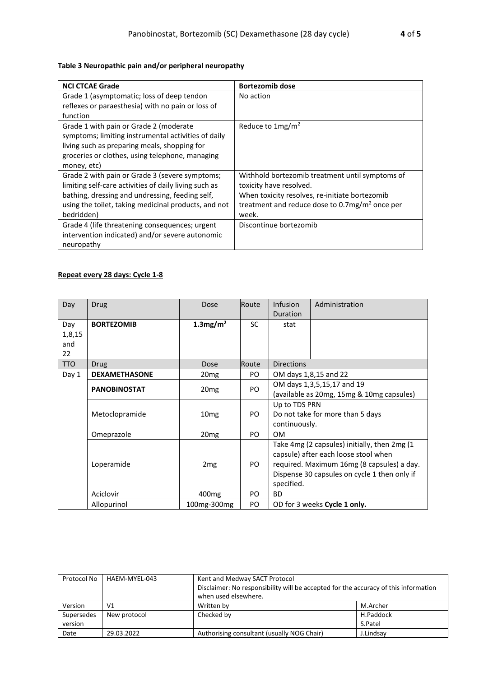## **Table 3 Neuropathic pain and/or peripheral neuropathy**

| <b>NCI CTCAE Grade</b>                                | <b>Bortezomib dose</b>                                    |
|-------------------------------------------------------|-----------------------------------------------------------|
| Grade 1 (asymptomatic; loss of deep tendon            | No action                                                 |
| reflexes or paraesthesia) with no pain or loss of     |                                                           |
| function                                              |                                                           |
| Grade 1 with pain or Grade 2 (moderate                | Reduce to $1mg/m^2$                                       |
| symptoms; limiting instrumental activities of daily   |                                                           |
| living such as preparing meals, shopping for          |                                                           |
| groceries or clothes, using telephone, managing       |                                                           |
| money, etc)                                           |                                                           |
| Grade 2 with pain or Grade 3 (severe symptoms;        | Withhold bortezomib treatment until symptoms of           |
| limiting self-care activities of daily living such as | toxicity have resolved.                                   |
| bathing, dressing and undressing, feeding self,       | When toxicity resolves, re-initiate bortezomib            |
| using the toilet, taking medicinal products, and not  | treatment and reduce dose to $0.7 \text{mg/m}^2$ once per |
| bedridden)                                            | week.                                                     |
| Grade 4 (life threatening consequences; urgent        | Discontinue bortezomib                                    |
| intervention indicated) and/or severe autonomic       |                                                           |
| neuropathy                                            |                                                           |

## **Repeat every 28 days: Cycle 1-8**

| Day        | <b>Drug</b>          | Dose                    | Route     | Infusion                                   | Administration                               |
|------------|----------------------|-------------------------|-----------|--------------------------------------------|----------------------------------------------|
|            |                      |                         |           | Duration                                   |                                              |
| Day        | <b>BORTEZOMIB</b>    | $1.3$ mg/m <sup>2</sup> | <b>SC</b> | stat                                       |                                              |
| 1,8,15     |                      |                         |           |                                            |                                              |
| and        |                      |                         |           |                                            |                                              |
| 22         |                      |                         |           |                                            |                                              |
| <b>TTO</b> | <b>Drug</b>          | Dose                    | Route     | <b>Directions</b>                          |                                              |
| Day 1      | <b>DEXAMETHASONE</b> | 20 <sub>mg</sub>        | PO.       |                                            | OM days 1,8,15 and 22                        |
|            |                      |                         | PO.       |                                            | OM days 1,3,5,15,17 and 19                   |
|            | <b>PANOBINOSTAT</b>  | 20 <sub>mg</sub>        |           |                                            | (available as 20mg, 15mg & 10mg capsules)    |
|            |                      |                         |           | Up to TDS PRN                              |                                              |
|            | Metoclopramide       | 10 <sub>mg</sub>        | PO.       |                                            | Do not take for more than 5 days             |
|            |                      |                         |           | continuously.                              |                                              |
|            | Omeprazole           | 20 <sub>mg</sub>        | PO.       | 0M                                         |                                              |
|            |                      |                         |           |                                            | Take 4mg (2 capsules) initially, then 2mg (1 |
|            |                      |                         |           | capsule) after each loose stool when       |                                              |
|            | Loperamide           | 2 <sub>mg</sub>         | PO        | required. Maximum 16mg (8 capsules) a day. |                                              |
|            |                      |                         |           |                                            | Dispense 30 capsules on cycle 1 then only if |
|            |                      |                         |           | specified.                                 |                                              |
|            | Aciclovir            | 400 <sub>mg</sub>       | PO        | <b>BD</b>                                  |                                              |
|            | Allopurinol          | 100mg-300mg             | PO.       |                                            | OD for 3 weeks Cycle 1 only.                 |

| Protocol No | HAEM-MYEL-043 | Kent and Medway SACT Protocol                                                       |           |  |
|-------------|---------------|-------------------------------------------------------------------------------------|-----------|--|
|             |               | Disclaimer: No responsibility will be accepted for the accuracy of this information |           |  |
|             |               | when used elsewhere.                                                                |           |  |
| Version     | V1            | Written by                                                                          | M.Archer  |  |
| Supersedes  | New protocol  | H.Paddock<br>Checked by                                                             |           |  |
| version     |               |                                                                                     | S.Patel   |  |
| Date        | 29.03.2022    | Authorising consultant (usually NOG Chair)                                          | J.Lindsay |  |